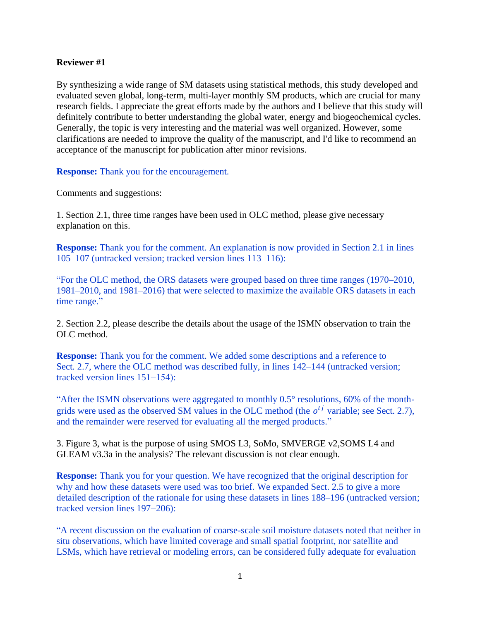## **Reviewer #1**

By synthesizing a wide range of SM datasets using statistical methods, this study developed and evaluated seven global, long-term, multi-layer monthly SM products, which are crucial for many research fields. I appreciate the great efforts made by the authors and I believe that this study will definitely contribute to better understanding the global water, energy and biogeochemical cycles. Generally, the topic is very interesting and the material was well organized. However, some clarifications are needed to improve the quality of the manuscript, and I'd like to recommend an acceptance of the manuscript for publication after minor revisions.

**Response:** Thank you for the encouragement.

Comments and suggestions:

1. Section 2.1, three time ranges have been used in OLC method, please give necessary explanation on this.

**Response:** Thank you for the comment. An explanation is now provided in Section 2.1 in lines 105–107 (untracked version; tracked version lines 113–116):

"For the OLC method, the ORS datasets were grouped based on three time ranges (1970–2010, 1981–2010, and 1981–2016) that were selected to maximize the available ORS datasets in each time range."

2. Section 2.2, please describe the details about the usage of the ISMN observation to train the OLC method.

**Response:** Thank you for the comment. We added some descriptions and a reference to Sect. 2.7, where the OLC method was described fully, in lines 142–144 (untracked version; tracked version lines 151−154):

"After the ISMN observations were aggregated to monthly 0.5° resolutions, 60% of the monthgrids were used as the observed SM values in the OLC method (the  $o^{tj}$  variable; see Sect. 2.7), and the remainder were reserved for evaluating all the merged products."

3. Figure 3, what is the purpose of using SMOS L3, SoMo, SMVERGE v2,SOMS L4 and GLEAM v3.3a in the analysis? The relevant discussion is not clear enough.

**Response:** Thank you for your question. We have recognized that the original description for why and how these datasets were used was too brief. We expanded Sect. 2.5 to give a more detailed description of the rationale for using these datasets in lines 188–196 (untracked version; tracked version lines 197−206):

"A recent discussion on the evaluation of coarse-scale soil moisture datasets noted that neither in situ observations, which have limited coverage and small spatial footprint, nor satellite and LSMs, which have retrieval or modeling errors, can be considered fully adequate for evaluation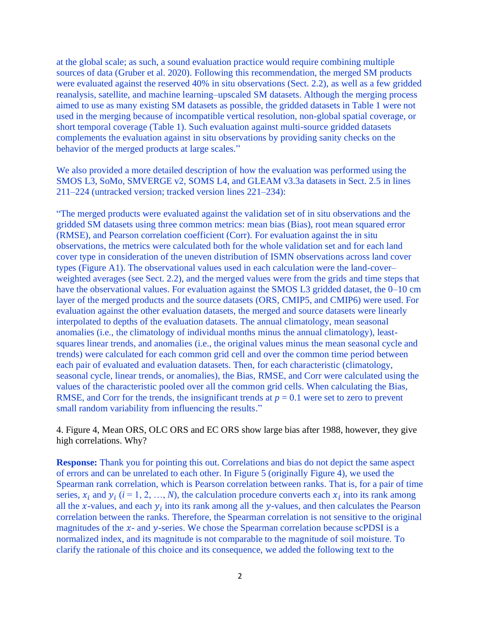at the global scale; as such, a sound evaluation practice would require combining multiple sources of data (Gruber et al. 2020). Following this recommendation, the merged SM products were evaluated against the reserved 40% in situ observations (Sect. 2.2), as well as a few gridded reanalysis, satellite, and machine learning–upscaled SM datasets. Although the merging process aimed to use as many existing SM datasets as possible, the gridded datasets in Table 1 were not used in the merging because of incompatible vertical resolution, non-global spatial coverage, or short temporal coverage (Table 1). Such evaluation against multi-source gridded datasets complements the evaluation against in situ observations by providing sanity checks on the behavior of the merged products at large scales."

We also provided a more detailed description of how the evaluation was performed using the SMOS L3, SoMo, SMVERGE v2, SOMS L4, and GLEAM v3.3a datasets in Sect. 2.5 in lines 211–224 (untracked version; tracked version lines 221–234):

"The merged products were evaluated against the validation set of in situ observations and the gridded SM datasets using three common metrics: mean bias (Bias), root mean squared error (RMSE), and Pearson correlation coefficient (Corr). For evaluation against the in situ observations, the metrics were calculated both for the whole validation set and for each land cover type in consideration of the uneven distribution of ISMN observations across land cover types (Figure A1). The observational values used in each calculation were the land-cover– weighted averages (see Sect. 2.2), and the merged values were from the grids and time steps that have the observational values. For evaluation against the SMOS L3 gridded dataset, the 0–10 cm layer of the merged products and the source datasets (ORS, CMIP5, and CMIP6) were used. For evaluation against the other evaluation datasets, the merged and source datasets were linearly interpolated to depths of the evaluation datasets. The annual climatology, mean seasonal anomalies (i.e., the climatology of individual months minus the annual climatology), leastsquares linear trends, and anomalies (i.e., the original values minus the mean seasonal cycle and trends) were calculated for each common grid cell and over the common time period between each pair of evaluated and evaluation datasets. Then, for each characteristic (climatology, seasonal cycle, linear trends, or anomalies), the Bias, RMSE, and Corr were calculated using the values of the characteristic pooled over all the common grid cells. When calculating the Bias, RMSE, and Corr for the trends, the insignificant trends at  $p = 0.1$  were set to zero to prevent small random variability from influencing the results."

4. Figure 4, Mean ORS, OLC ORS and EC ORS show large bias after 1988, however, they give high correlations. Why?

**Response:** Thank you for pointing this out. Correlations and bias do not depict the same aspect of errors and can be unrelated to each other. In Figure 5 (originally Figure 4), we used the Spearman rank correlation, which is Pearson correlation between ranks. That is, for a pair of time series,  $x_i$  and  $y_i$  ( $i = 1, 2, ..., N$ ), the calculation procedure converts each  $x_i$  into its rank among all the x-values, and each  $y_i$  into its rank among all the y-values, and then calculates the Pearson correlation between the ranks. Therefore, the Spearman correlation is not sensitive to the original magnitudes of the  $x$ - and  $y$ -series. We chose the Spearman correlation because scPDSI is a normalized index, and its magnitude is not comparable to the magnitude of soil moisture. To clarify the rationale of this choice and its consequence, we added the following text to the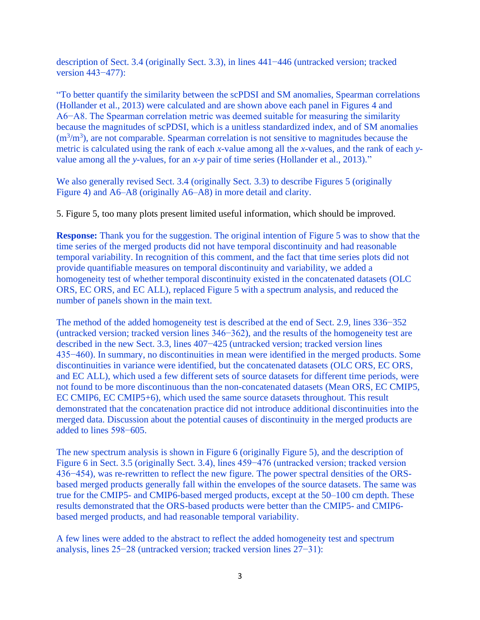description of Sect. 3.4 (originally Sect. 3.3), in lines 441−446 (untracked version; tracked version 443−477):

"To better quantify the similarity between the scPDSI and SM anomalies, Spearman correlations (Hollander et al., 2013) were calculated and are shown above each panel in Figures 4 and A6−A8. The Spearman correlation metric was deemed suitable for measuring the similarity because the magnitudes of scPDSI, which is a unitless standardized index, and of SM anomalies  $(m<sup>3</sup>/m<sup>3</sup>)$ , are not comparable. Spearman correlation is not sensitive to magnitudes because the metric is calculated using the rank of each *x-*value among all the *x-*values, and the rank of each *y*value among all the *y*-values, for an *x-y* pair of time series (Hollander et al., 2013)."

We also generally revised Sect. 3.4 (originally Sect. 3.3) to describe Figures 5 (originally Figure 4) and A6–A8 (originally A6–A8) in more detail and clarity.

5. Figure 5, too many plots present limited useful information, which should be improved.

**Response:** Thank you for the suggestion. The original intention of Figure 5 was to show that the time series of the merged products did not have temporal discontinuity and had reasonable temporal variability. In recognition of this comment, and the fact that time series plots did not provide quantifiable measures on temporal discontinuity and variability, we added a homogeneity test of whether temporal discontinuity existed in the concatenated datasets (OLC ORS, EC ORS, and EC ALL), replaced Figure 5 with a spectrum analysis, and reduced the number of panels shown in the main text.

The method of the added homogeneity test is described at the end of Sect. 2.9, lines 336–352 (untracked version; tracked version lines 346−362), and the results of the homogeneity test are described in the new Sect. 3.3, lines 407−425 (untracked version; tracked version lines 435−460). In summary, no discontinuities in mean were identified in the merged products. Some discontinuities in variance were identified, but the concatenated datasets (OLC ORS, EC ORS, and EC ALL), which used a few different sets of source datasets for different time periods, were not found to be more discontinuous than the non-concatenated datasets (Mean ORS, EC CMIP5, EC CMIP6, EC CMIP5+6), which used the same source datasets throughout. This result demonstrated that the concatenation practice did not introduce additional discontinuities into the merged data. Discussion about the potential causes of discontinuity in the merged products are added to lines 598−605.

The new spectrum analysis is shown in Figure 6 (originally Figure 5), and the description of Figure 6 in Sect. 3.5 (originally Sect. 3.4), lines 459−476 (untracked version; tracked version 436−454), was re-rewritten to reflect the new figure. The power spectral densities of the ORSbased merged products generally fall within the envelopes of the source datasets. The same was true for the CMIP5- and CMIP6-based merged products, except at the 50–100 cm depth. These results demonstrated that the ORS-based products were better than the CMIP5- and CMIP6 based merged products, and had reasonable temporal variability.

A few lines were added to the abstract to reflect the added homogeneity test and spectrum analysis, lines 25−28 (untracked version; tracked version lines 27−31):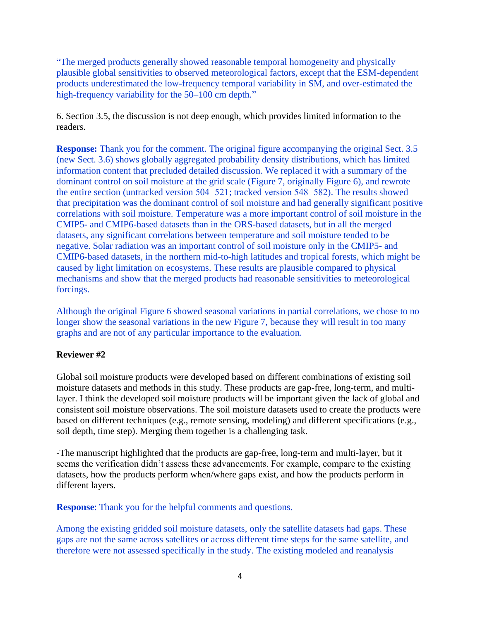"The merged products generally showed reasonable temporal homogeneity and physically plausible global sensitivities to observed meteorological factors, except that the ESM-dependent products underestimated the low-frequency temporal variability in SM, and over-estimated the high-frequency variability for the 50–100 cm depth."

6. Section 3.5, the discussion is not deep enough, which provides limited information to the readers.

**Response:** Thank you for the comment. The original figure accompanying the original Sect. 3.5 (new Sect. 3.6) shows globally aggregated probability density distributions, which has limited information content that precluded detailed discussion. We replaced it with a summary of the dominant control on soil moisture at the grid scale (Figure 7, originally Figure 6), and rewrote the entire section (untracked version 504−521; tracked version 548−582). The results showed that precipitation was the dominant control of soil moisture and had generally significant positive correlations with soil moisture. Temperature was a more important control of soil moisture in the CMIP5- and CMIP6-based datasets than in the ORS-based datasets, but in all the merged datasets, any significant correlations between temperature and soil moisture tended to be negative. Solar radiation was an important control of soil moisture only in the CMIP5- and CMIP6-based datasets, in the northern mid-to-high latitudes and tropical forests, which might be caused by light limitation on ecosystems. These results are plausible compared to physical mechanisms and show that the merged products had reasonable sensitivities to meteorological forcings.

Although the original Figure 6 showed seasonal variations in partial correlations, we chose to no longer show the seasonal variations in the new Figure 7, because they will result in too many graphs and are not of any particular importance to the evaluation.

## **Reviewer #2**

Global soil moisture products were developed based on different combinations of existing soil moisture datasets and methods in this study. These products are gap-free, long-term, and multilayer. I think the developed soil moisture products will be important given the lack of global and consistent soil moisture observations. The soil moisture datasets used to create the products were based on different techniques (e.g., remote sensing, modeling) and different specifications (e.g., soil depth, time step). Merging them together is a challenging task.

-The manuscript highlighted that the products are gap-free, long-term and multi-layer, but it seems the verification didn't assess these advancements. For example, compare to the existing datasets, how the products perform when/where gaps exist, and how the products perform in different layers.

**Response**: Thank you for the helpful comments and questions.

Among the existing gridded soil moisture datasets, only the satellite datasets had gaps. These gaps are not the same across satellites or across different time steps for the same satellite, and therefore were not assessed specifically in the study. The existing modeled and reanalysis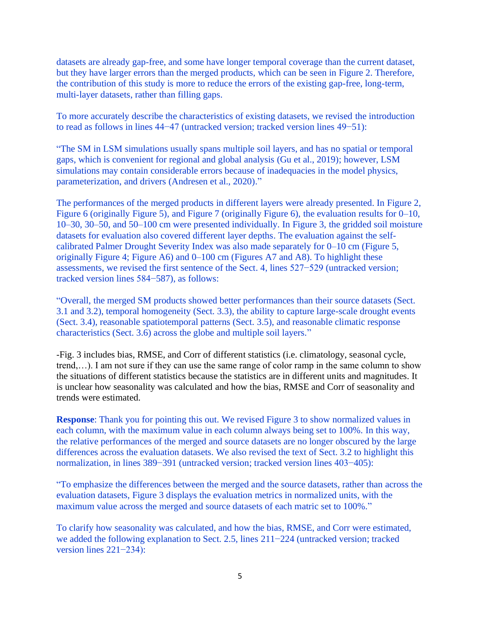datasets are already gap-free, and some have longer temporal coverage than the current dataset, but they have larger errors than the merged products, which can be seen in Figure 2. Therefore, the contribution of this study is more to reduce the errors of the existing gap-free, long-term, multi-layer datasets, rather than filling gaps.

To more accurately describe the characteristics of existing datasets, we revised the introduction to read as follows in lines 44−47 (untracked version; tracked version lines 49−51):

"The SM in LSM simulations usually spans multiple soil layers, and has no spatial or temporal gaps, which is convenient for regional and global analysis (Gu et al., 2019); however, LSM simulations may contain considerable errors because of inadequacies in the model physics, parameterization, and drivers (Andresen et al., 2020)."

The performances of the merged products in different layers were already presented. In Figure 2, Figure 6 (originally Figure 5), and Figure 7 (originally Figure 6), the evaluation results for 0–10, 10–30, 30–50, and 50–100 cm were presented individually. In Figure 3, the gridded soil moisture datasets for evaluation also covered different layer depths. The evaluation against the selfcalibrated Palmer Drought Severity Index was also made separately for 0–10 cm (Figure 5, originally Figure 4; Figure A6) and 0–100 cm (Figures A7 and A8). To highlight these assessments, we revised the first sentence of the Sect. 4, lines 527−529 (untracked version; tracked version lines 584−587), as follows:

"Overall, the merged SM products showed better performances than their source datasets (Sect. 3.1 and 3.2), temporal homogeneity (Sect. 3.3), the ability to capture large-scale drought events (Sect. 3.4), reasonable spatiotemporal patterns (Sect. 3.5), and reasonable climatic response characteristics (Sect. 3.6) across the globe and multiple soil layers."

-Fig. 3 includes bias, RMSE, and Corr of different statistics (i.e. climatology, seasonal cycle, trend,…). I am not sure if they can use the same range of color ramp in the same column to show the situations of different statistics because the statistics are in different units and magnitudes. It is unclear how seasonality was calculated and how the bias, RMSE and Corr of seasonality and trends were estimated.

**Response**: Thank you for pointing this out. We revised Figure 3 to show normalized values in each column, with the maximum value in each column always being set to 100%. In this way, the relative performances of the merged and source datasets are no longer obscured by the large differences across the evaluation datasets. We also revised the text of Sect. 3.2 to highlight this normalization, in lines 389−391 (untracked version; tracked version lines 403−405):

"To emphasize the differences between the merged and the source datasets, rather than across the evaluation datasets, Figure 3 displays the evaluation metrics in normalized units, with the maximum value across the merged and source datasets of each matric set to 100%."

To clarify how seasonality was calculated, and how the bias, RMSE, and Corr were estimated, we added the following explanation to Sect. 2.5, lines 211−224 (untracked version; tracked version lines 221−234):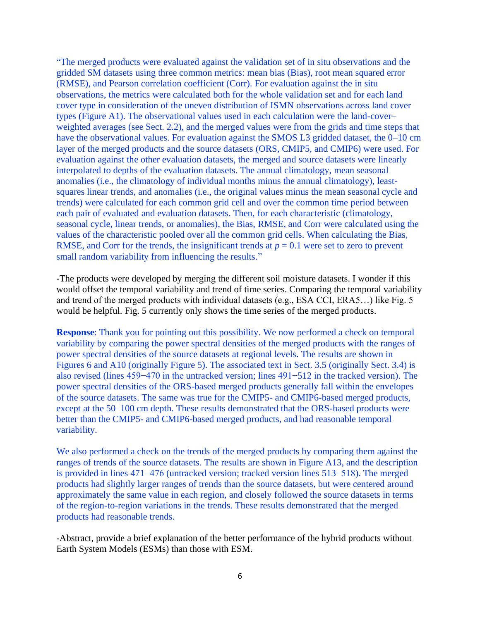"The merged products were evaluated against the validation set of in situ observations and the gridded SM datasets using three common metrics: mean bias (Bias), root mean squared error (RMSE), and Pearson correlation coefficient (Corr). For evaluation against the in situ observations, the metrics were calculated both for the whole validation set and for each land cover type in consideration of the uneven distribution of ISMN observations across land cover types (Figure A1). The observational values used in each calculation were the land-cover– weighted averages (see Sect. 2.2), and the merged values were from the grids and time steps that have the observational values. For evaluation against the SMOS L3 gridded dataset, the 0–10 cm layer of the merged products and the source datasets (ORS, CMIP5, and CMIP6) were used. For evaluation against the other evaluation datasets, the merged and source datasets were linearly interpolated to depths of the evaluation datasets. The annual climatology, mean seasonal anomalies (i.e., the climatology of individual months minus the annual climatology), leastsquares linear trends, and anomalies (i.e., the original values minus the mean seasonal cycle and trends) were calculated for each common grid cell and over the common time period between each pair of evaluated and evaluation datasets. Then, for each characteristic (climatology, seasonal cycle, linear trends, or anomalies), the Bias, RMSE, and Corr were calculated using the values of the characteristic pooled over all the common grid cells. When calculating the Bias, RMSE, and Corr for the trends, the insignificant trends at  $p = 0.1$  were set to zero to prevent small random variability from influencing the results."

-The products were developed by merging the different soil moisture datasets. I wonder if this would offset the temporal variability and trend of time series. Comparing the temporal variability and trend of the merged products with individual datasets (e.g., ESA CCI, ERA5…) like Fig. 5 would be helpful. Fig. 5 currently only shows the time series of the merged products.

**Response**: Thank you for pointing out this possibility. We now performed a check on temporal variability by comparing the power spectral densities of the merged products with the ranges of power spectral densities of the source datasets at regional levels. The results are shown in Figures 6 and A10 (originally Figure 5). The associated text in Sect. 3.5 (originally Sect. 3.4) is also revised (lines 459−470 in the untracked version; lines 491−512 in the tracked version). The power spectral densities of the ORS-based merged products generally fall within the envelopes of the source datasets. The same was true for the CMIP5- and CMIP6-based merged products, except at the 50–100 cm depth. These results demonstrated that the ORS-based products were better than the CMIP5- and CMIP6-based merged products, and had reasonable temporal variability.

We also performed a check on the trends of the merged products by comparing them against the ranges of trends of the source datasets. The results are shown in Figure A13, and the description is provided in lines 471−476 (untracked version; tracked version lines 513−518). The merged products had slightly larger ranges of trends than the source datasets, but were centered around approximately the same value in each region, and closely followed the source datasets in terms of the region-to-region variations in the trends. These results demonstrated that the merged products had reasonable trends.

-Abstract, provide a brief explanation of the better performance of the hybrid products without Earth System Models (ESMs) than those with ESM.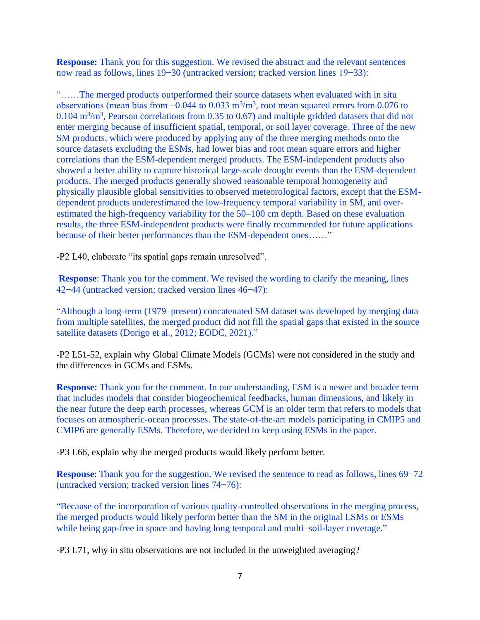**Response:** Thank you for this suggestion. We revised the abstract and the relevant sentences now read as follows, lines 19−30 (untracked version; tracked version lines 19−33):

"……The merged products outperformed their source datasets when evaluated with in situ observations (mean bias from  $-0.044$  to  $0.033$  m<sup>3</sup>/m<sup>3</sup>, root mean squared errors from 0.076 to  $0.104 \text{ m}^3/\text{m}^3$ , Pearson correlations from 0.35 to 0.67) and multiple gridded datasets that did not enter merging because of insufficient spatial, temporal, or soil layer coverage. Three of the new SM products, which were produced by applying any of the three merging methods onto the source datasets excluding the ESMs, had lower bias and root mean square errors and higher correlations than the ESM-dependent merged products. The ESM-independent products also showed a better ability to capture historical large-scale drought events than the ESM-dependent products. The merged products generally showed reasonable temporal homogeneity and physically plausible global sensitivities to observed meteorological factors, except that the ESMdependent products underestimated the low-frequency temporal variability in SM, and overestimated the high-frequency variability for the 50–100 cm depth. Based on these evaluation results, the three ESM-independent products were finally recommended for future applications because of their better performances than the ESM-dependent ones……"

-P2 L40, elaborate "its spatial gaps remain unresolved".

**Response**: Thank you for the comment. We revised the wording to clarify the meaning, lines 42−44 (untracked version; tracked version lines 46−47):

"Although a long-term (1979–present) concatenated SM dataset was developed by merging data from multiple satellites, the merged product did not fill the spatial gaps that existed in the source satellite datasets (Dorigo et al., 2012; EODC, 2021)."

-P2 L51-52, explain why Global Climate Models (GCMs) were not considered in the study and the differences in GCMs and ESMs.

**Response:** Thank you for the comment. In our understanding, ESM is a newer and broader term that includes models that consider biogeochemical feedbacks, human dimensions, and likely in the near future the deep earth processes, whereas GCM is an older term that refers to models that focuses on atmospheric-ocean processes. The state-of-the-art models participating in CMIP5 and CMIP6 are generally ESMs. Therefore, we decided to keep using ESMs in the paper.

-P3 L66, explain why the merged products would likely perform better.

**Response**: Thank you for the suggestion. We revised the sentence to read as follows, lines 69−72 (untracked version; tracked version lines 74−76):

"Because of the incorporation of various quality-controlled observations in the merging process, the merged products would likely perform better than the SM in the original LSMs or ESMs while being gap-free in space and having long temporal and multi–soil-layer coverage."

-P3 L71, why in situ observations are not included in the unweighted averaging?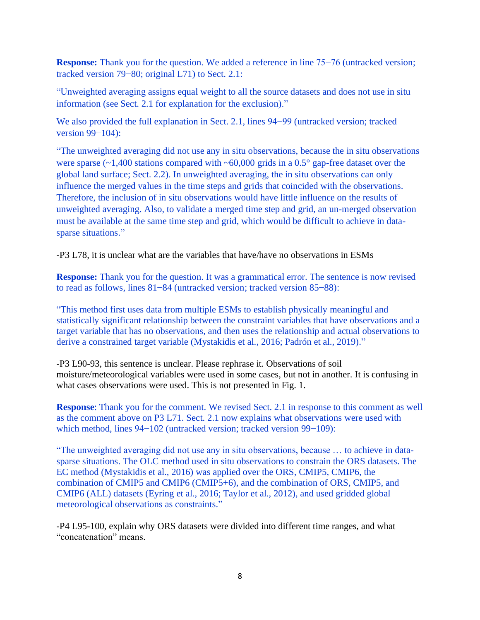**Response:** Thank you for the question. We added a reference in line 75−76 (untracked version; tracked version 79−80; original L71) to Sect. 2.1:

"Unweighted averaging assigns equal weight to all the source datasets and does not use in situ information (see Sect. 2.1 for explanation for the exclusion)."

We also provided the full explanation in Sect. 2.1, lines 94−99 (untracked version; tracked version 99−104):

"The unweighted averaging did not use any in situ observations, because the in situ observations were sparse ( $\sim$ 1,400 stations compared with  $\sim$ 60,000 grids in a 0.5° gap-free dataset over the global land surface; Sect. 2.2). In unweighted averaging, the in situ observations can only influence the merged values in the time steps and grids that coincided with the observations. Therefore, the inclusion of in situ observations would have little influence on the results of unweighted averaging. Also, to validate a merged time step and grid, an un-merged observation must be available at the same time step and grid, which would be difficult to achieve in datasparse situations."

-P3 L78, it is unclear what are the variables that have/have no observations in ESMs

**Response:** Thank you for the question. It was a grammatical error. The sentence is now revised to read as follows, lines 81−84 (untracked version; tracked version 85−88):

"This method first uses data from multiple ESMs to establish physically meaningful and statistically significant relationship between the constraint variables that have observations and a target variable that has no observations, and then uses the relationship and actual observations to derive a constrained target variable (Mystakidis et al., 2016; Padrón et al., 2019)."

-P3 L90-93, this sentence is unclear. Please rephrase it. Observations of soil moisture/meteorological variables were used in some cases, but not in another. It is confusing in what cases observations were used. This is not presented in Fig. 1.

**Response**: Thank you for the comment. We revised Sect. 2.1 in response to this comment as well as the comment above on P3 L71. Sect. 2.1 now explains what observations were used with which method, lines 94−102 (untracked version; tracked version 99−109):

"The unweighted averaging did not use any in situ observations, because … to achieve in datasparse situations. The OLC method used in situ observations to constrain the ORS datasets. The EC method (Mystakidis et al., 2016) was applied over the ORS, CMIP5, CMIP6, the combination of CMIP5 and CMIP6 (CMIP5+6), and the combination of ORS, CMIP5, and CMIP6 (ALL) datasets (Eyring et al., 2016; Taylor et al., 2012), and used gridded global meteorological observations as constraints."

-P4 L95-100, explain why ORS datasets were divided into different time ranges, and what "concatenation" means.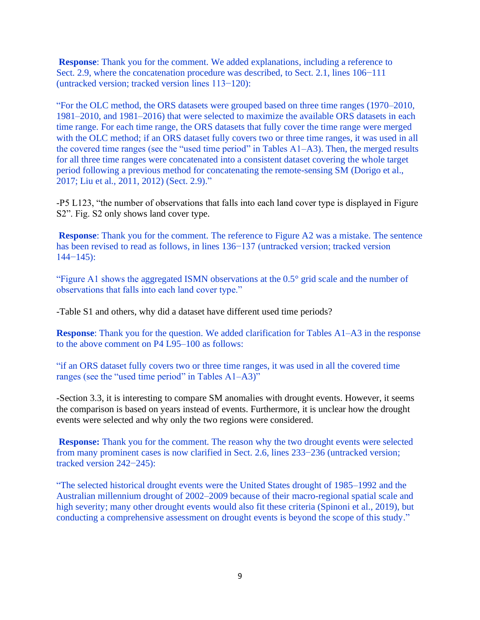**Response**: Thank you for the comment. We added explanations, including a reference to Sect. 2.9, where the concatenation procedure was described, to Sect. 2.1, lines 106−111 (untracked version; tracked version lines 113−120):

"For the OLC method, the ORS datasets were grouped based on three time ranges (1970–2010, 1981–2010, and 1981–2016) that were selected to maximize the available ORS datasets in each time range. For each time range, the ORS datasets that fully cover the time range were merged with the OLC method; if an ORS dataset fully covers two or three time ranges, it was used in all the covered time ranges (see the "used time period" in Tables A1–A3). Then, the merged results for all three time ranges were concatenated into a consistent dataset covering the whole target period following a previous method for concatenating the remote-sensing SM (Dorigo et al., 2017; Liu et al., 2011, 2012) (Sect. 2.9)."

-P5 L123, "the number of observations that falls into each land cover type is displayed in Figure S2". Fig. S2 only shows land cover type.

**Response**: Thank you for the comment. The reference to Figure A2 was a mistake. The sentence has been revised to read as follows, in lines 136−137 (untracked version; tracked version 144−145):

"Figure A1 shows the aggregated ISMN observations at the 0.5° grid scale and the number of observations that falls into each land cover type."

-Table S1 and others, why did a dataset have different used time periods?

**Response**: Thank you for the question. We added clarification for Tables A1–A3 in the response to the above comment on P4 L95–100 as follows:

"if an ORS dataset fully covers two or three time ranges, it was used in all the covered time ranges (see the "used time period" in Tables A1–A3)"

-Section 3.3, it is interesting to compare SM anomalies with drought events. However, it seems the comparison is based on years instead of events. Furthermore, it is unclear how the drought events were selected and why only the two regions were considered.

**Response:** Thank you for the comment. The reason why the two drought events were selected from many prominent cases is now clarified in Sect. 2.6, lines 233−236 (untracked version; tracked version 242−245):

"The selected historical drought events were the United States drought of 1985–1992 and the Australian millennium drought of 2002–2009 because of their macro-regional spatial scale and high severity; many other drought events would also fit these criteria (Spinoni et al., 2019), but conducting a comprehensive assessment on drought events is beyond the scope of this study."